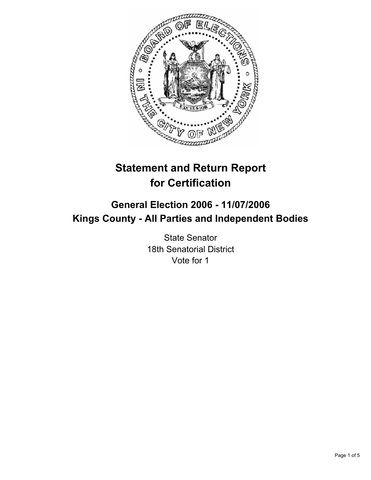

# **Statement and Return Report for Certification**

## **General Election 2006 - 11/07/2006 Kings County - All Parties and Independent Bodies**

State Senator 18th Senatorial District Vote for 1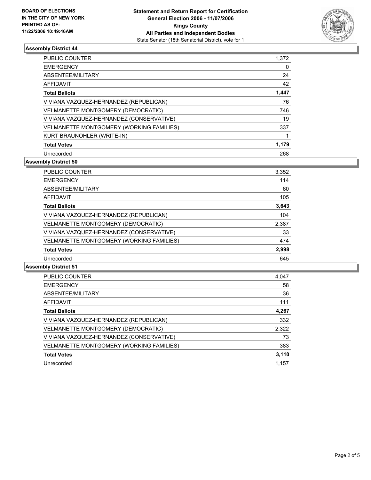

#### **Assembly District 44**

| PUBLIC COUNTER                           | 1,372 |
|------------------------------------------|-------|
| <b>EMERGENCY</b>                         |       |
| ABSENTEE/MILITARY                        | 24    |
| AFFIDAVIT                                | 42    |
| <b>Total Ballots</b>                     | 1,447 |
| VIVIANA VAZQUEZ-HERNANDEZ (REPUBLICAN)   | 76    |
| VELMANETTE MONTGOMERY (DEMOCRATIC)       | 746   |
| VIVIANA VAZQUEZ-HERNANDEZ (CONSERVATIVE) | 19    |
| VELMANETTE MONTGOMERY (WORKING FAMILIES) | 337   |
| KURT BRAUNOHLER (WRITE-IN)               |       |
| <b>Total Votes</b>                       | 1,179 |
| Unrecorded                               | 268   |

**Assembly District 50**

| <b>PUBLIC COUNTER</b>                    | 3,352 |  |
|------------------------------------------|-------|--|
| <b>EMERGENCY</b>                         | 114   |  |
| ABSENTEE/MILITARY                        | 60    |  |
| AFFIDAVIT                                | 105   |  |
| <b>Total Ballots</b>                     | 3,643 |  |
| VIVIANA VAZQUEZ-HERNANDEZ (REPUBLICAN)   | 104   |  |
| VELMANETTE MONTGOMERY (DEMOCRATIC)       | 2,387 |  |
| VIVIANA VAZQUEZ-HERNANDEZ (CONSERVATIVE) | 33    |  |
| VELMANETTE MONTGOMERY (WORKING FAMILIES) | 474   |  |
| <b>Total Votes</b>                       | 2,998 |  |
| Unrecorded                               | 645   |  |

#### **Assembly District 51**

| <b>PUBLIC COUNTER</b>                    | 4,047 |
|------------------------------------------|-------|
| <b>EMERGENCY</b>                         | 58    |
| ABSENTEE/MILITARY                        | 36    |
| <b>AFFIDAVIT</b>                         | 111   |
| <b>Total Ballots</b>                     | 4,267 |
| VIVIANA VAZQUEZ-HERNANDEZ (REPUBLICAN)   | 332   |
| VELMANETTE MONTGOMERY (DEMOCRATIC)       | 2,322 |
| VIVIANA VAZQUEZ-HERNANDEZ (CONSERVATIVE) | 73    |
| VELMANETTE MONTGOMERY (WORKING FAMILIES) | 383   |
| <b>Total Votes</b>                       | 3,110 |
| Unrecorded                               | 1.157 |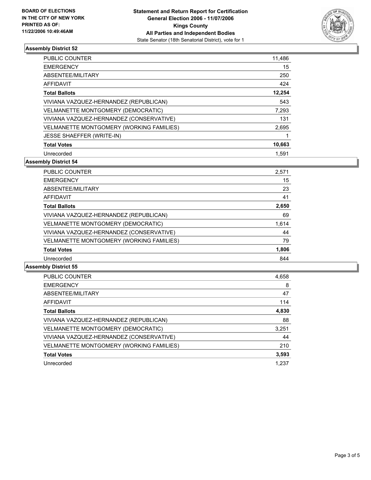

#### **Assembly District 52**

| PUBLIC COUNTER                            | 11,486 |
|-------------------------------------------|--------|
| <b>EMERGENCY</b>                          | 15     |
| ABSENTEE/MILITARY                         | 250    |
| AFFIDAVIT                                 | 424    |
| <b>Total Ballots</b>                      | 12,254 |
| VIVIANA VAZQUEZ-HERNANDEZ (REPUBLICAN)    | 543    |
| <b>VELMANETTE MONTGOMERY (DEMOCRATIC)</b> | 7,293  |
| VIVIANA VAZQUEZ-HERNANDEZ (CONSERVATIVE)  | 131    |
| VELMANETTE MONTGOMERY (WORKING FAMILIES)  | 2,695  |
| <b>JESSE SHAEFFER (WRITE-IN)</b>          |        |
| <b>Total Votes</b>                        | 10,663 |
| Unrecorded                                | 1.591  |

**Assembly District 54**

| <b>PUBLIC COUNTER</b>                    | 2,571 |  |
|------------------------------------------|-------|--|
| <b>EMERGENCY</b>                         | 15    |  |
| ABSENTEE/MILITARY                        | 23    |  |
| <b>AFFIDAVIT</b>                         | 41    |  |
| <b>Total Ballots</b>                     | 2,650 |  |
| VIVIANA VAZQUEZ-HERNANDEZ (REPUBLICAN)   | 69    |  |
| VELMANETTE MONTGOMERY (DEMOCRATIC)       | 1,614 |  |
| VIVIANA VAZQUEZ-HERNANDEZ (CONSERVATIVE) | 44    |  |
| VELMANETTE MONTGOMERY (WORKING FAMILIES) | 79    |  |
| <b>Total Votes</b>                       | 1,806 |  |
| Unrecorded                               | 844   |  |

#### **Assembly District 55**

| <b>PUBLIC COUNTER</b>                    | 4,658 |
|------------------------------------------|-------|
| <b>EMERGENCY</b>                         | 8     |
| ABSENTEE/MILITARY                        | 47    |
| AFFIDAVIT                                | 114   |
| <b>Total Ballots</b>                     | 4,830 |
| VIVIANA VAZQUEZ-HERNANDEZ (REPUBLICAN)   | 88    |
| VELMANETTE MONTGOMERY (DEMOCRATIC)       | 3,251 |
| VIVIANA VAZQUEZ-HERNANDEZ (CONSERVATIVE) | 44    |
| VELMANETTE MONTGOMERY (WORKING FAMILIES) | 210   |
| <b>Total Votes</b>                       | 3,593 |
| Unrecorded                               | 1.237 |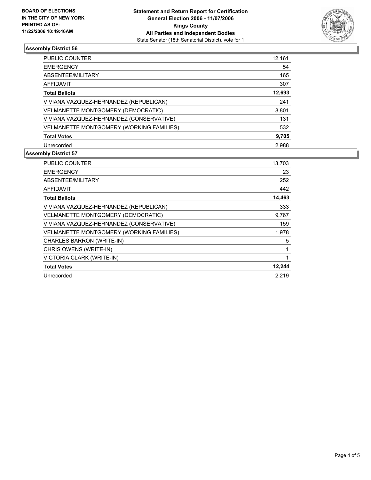

### **Assembly District 56**

| <b>PUBLIC COUNTER</b>                    | 12,161 |
|------------------------------------------|--------|
| <b>EMERGENCY</b>                         | 54     |
| ABSENTEE/MILITARY                        | 165    |
| AFFIDAVIT                                | 307    |
| <b>Total Ballots</b>                     | 12,693 |
| VIVIANA VAZQUEZ-HERNANDEZ (REPUBLICAN)   | 241    |
| VELMANETTE MONTGOMERY (DEMOCRATIC)       | 8,801  |
| VIVIANA VAZQUEZ-HERNANDEZ (CONSERVATIVE) | 131    |
| VELMANETTE MONTGOMERY (WORKING FAMILIES) | 532    |
| <b>Total Votes</b>                       | 9,705  |
| Unrecorded                               | 2.988  |

#### **Assembly District 57**

| <b>PUBLIC COUNTER</b>                    | 13,703 |
|------------------------------------------|--------|
| <b>EMERGENCY</b>                         | 23     |
| ABSENTEE/MILITARY                        | 252    |
| <b>AFFIDAVIT</b>                         | 442    |
| <b>Total Ballots</b>                     | 14,463 |
| VIVIANA VAZQUEZ-HERNANDEZ (REPUBLICAN)   | 333    |
| VELMANETTE MONTGOMERY (DEMOCRATIC)       | 9,767  |
| VIVIANA VAZQUEZ-HERNANDEZ (CONSERVATIVE) | 159    |
| VELMANETTE MONTGOMERY (WORKING FAMILIES) | 1,978  |
| CHARLES BARRON (WRITE-IN)                | 5      |
| CHRIS OWENS (WRITE-IN)                   |        |
| VICTORIA CLARK (WRITE-IN)                |        |
| <b>Total Votes</b>                       | 12,244 |
| Unrecorded                               | 2.219  |